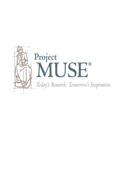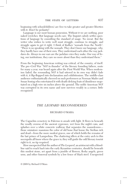beginning with schoolchildren) are free to take greater and greater liberties with it. Don't be pedantic!

Language is our most human possession. Without it we are nothing, poor naked wretches. But language needs care. The linguist calmly settles questions of language by consulting the standard of usage. No sweat. But the writer who wishes to write well must struggle, continue to struggle, and struggle again to get it right. I think of Kafka's "nomads from the North": "There is no speaking with the nomads. They don't know our language, why, they hardly have one of their own. They understand each other the way jackdaws do. Always in our ears are the jackdaw cries they make. Our way of living, our institutions, they care no more about than they understand them."

From the beginning American writing was critical, of the country, of itself. The pre–Civil War "NO! in thunder" of the literary founding fathers, mute for many a year, was heard again after the First World War. When modernism faded, the resounding NO! it had uttered in its own way didn't fade with it, it flip-flopped into declamation and exhibitionism. The middle-class audience enthusiastically cheered on such performers as Norman Mailer and Susan Sontag who entertained it with death-defying feats of dissidence negotiated on a high wire six inches above the ground. The noble American NO! was corrupted in its own name and now survives weakly in a corner, little recognized.

## *THE LEOPARD* RECONSIDERED

## RICHARD O'MARA

The Capuchin cemetery in Palermo is awash with light. It flows in beneath the woolly crowns of the ancient cypresses, wet from the night's rain, and splashes over a white concrete walkway that separates the mausoleums those miniature mansions the color of old bone that house the Sicilian rich and dead—from the more modest graves, one of which holds the remains of the last prince of Lampedusa. The chattering idlers at the entry arch to this necropolis all know where the grave is; they will guide the odd literary tourist right to it, no tip required.

How unexpected that the author of *The Leopard*, an aristocrat with a bloodline said to reach back into the early Byzantine centuries, should lie beneath this modest stone, set apart from a jumble of flowers, fleshy angels, green urns, and other funereal symbols by a low fence of black steel. Unexpected

© 2008 by Richard O'Mara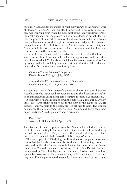but understandable, for the author of what many regard as the greatest work of literature to emerge from this island throughout its entire turbulent history, was living in penury when he died; most of the family lands were gone, the wealth squandered, the palaces sold off or moldering in desuetude. Neither the prince of Lampedusa nor any of his kin ever learned how to make a living in the modern world, except one, who became a diplomat. (The name Lampedusa refers to a bleak island in the Mediterranean between Sicily and Africa, which the last prince never visited. The family sold it in the nineteenth century to the Bourbon French.)

Not far beyond the rectangle of marble rises a white wall with a forest of sumac trees behind it waving their dull green fingers above and concealing part of a wooded hill. Visible above the hill are the mountains of western Sicily, so high and wild, so tightly confining that I can almost feel their shadows on my skin. On the stone are these inscriptions:

Giuseppe Tomasi Prince of Lampedusa Died in Rome, 23 Luglio [July] 1957

Alessandra Wolff Stomersee Princess of Lampedusa Died in Palermo, 22 Giorgno [June] 1982

Extraordinary man with an extraordinary mate: she was a Latvian baroness, a psychiatrist who introduced Freudianism to this island beneath the Italian boot, thinking, perhaps, it might help penetrate the iron-clad Sicilian ego.

A man with a mustache comes down the path with a little girl in a yellow dress. He stares briefly at the tomb to the right of the Lampedusas'. He crouches and whispers to the child, presses his face to hers. The prince's neighbor to the left, a former leader of Italy's Communist Party, came here before his time. A bold sign blares above his stone:

Pio La Torre Assassinata Dalla Mafia 30 April, 1982

The sign calls to mind a phrase from *The Leopard* that alludes to one of the factors contributing to the social and political inertia that has held Sicily in thrall for generations. They are words that reveal a strategy of political deceit, words upon which the narrative of *The Leopard* turns.

The story opens in 1860 during the Risorgimento, a popular movement that ended the Bourbon monarchy, broke the grip of the ruling aristocratic caste, and unified the Italian peninsula for the first time since the Roman occupation. Tancredi, nephew to the prince of Salina, Don Fabrizio Corbera, has enlisted in Garibaldi's legions—his aim not to further their republican agenda but to subvert it. The prince is trying to dissuade Tancredi from putting himself in danger. Tancredi responds: "Unless we ourselves take a hand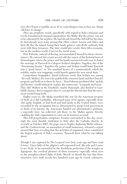now, they'll foist a republic on us. If we want things to stay as they are, things will have to change."

They are prophetic words, specifically with regard to Italy's infamous and overly romanticized criminal organization, the Mafia. But the prince was not to be educated by his nephew. He had already heard the bell toll for his class; he had already seen many among that effete cohort, barons and dukes and their ilk, flee the island, losing their lands, palaces, and all the authority that went with these treasures. The state would later render their titles meaningless in the modern world, if not on the social scene.

Don Fabrizio, instead of fleeing, accommodated himself to these circumstances. He entered into a tacit accord with the mayor of the fictional town of Donnafugata, where the prince and his family summered each year, to foster the marriage of Tancredi to Calogero Sedara's daughter, Angelica, she of the "threatening beauty." Together the prince and Sedara would hoist Tancredi into a "great future" as "the standard bearer of a counterattack, which the nobility, under new trappings, could launch against the new social State."

Lampedusa's biographer, David Gilmour, wrote that Sedara was among "the early Mafiosi, the men who grabbed the common lands and the Church's property and held on to them by force." Don Fabrizio predicted that "jackals and hyenas" would ultimately replace the aristocratic "Leopards and Lions." They did. Mafiosi in the hundreds, maybe thousands, also flocked to Garibaldi's banner, first to support, then to corrupt the liberal state that his movement would bring forth.

Eighty years on, the Mafia smoothed the way for the American invasion of Sicily as it did Garibaldi's. Afterward many of its agents, especially those who spoke English, or had lived and had family in the United States, were rewarded by the occupation forces. Determined to purge local government in Sicily of its fascists, the Americans handed out administrative positions, a mayoralty here, tax collector's job there, to the Mafia's agents, thereby enabling the dark organization to carry on its business as usual.

This self-perpetuation conspiracy remains entrenched to this day, seemingly the most durable institution in Italy after the Catholic church. As recently as October 2007, the pope was in Naples deploring Mafia violence, and the Confesercenti, an association of small businesses, released a report around that time revealing that the activities of organized crime constituted the largest segment of Italy's economy. Tancredi knew what he was talking about.

Though I was captured by *The Leopard* over forty years ago and have read it twice, I have little of the pilgrim's self-engrossed zeal. My wife and I came to see Sicily, to be astounded by the Euclidean perfection of the temples at Agregento, the cerebral pleasure of their symmetry especially when seen in the pumpkin-colored light of dusk. Merely to absorb the fact that these structures were built twenty-five hundred years ago by Greek colonizers,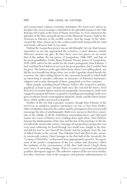and remain intact, induces a touristic inebriation. We went to see and try to decipher the covert messages embedded in the splendid mosaics in the Villa Romano del Casale in the town of Piazza Armerina; we were stunned at the splendor of the blue and gold interior of the Monreale Duomo, built by the Normans in Palermo in the twelfth century. And the image of the whitecrested Mt. Etna, drawn up by the restless earth itself, toying with the wind and clouds, will never fade in my mind.

Visiting the Lampedusa graves was an afterthought, but one that became imperative as our taxi approached the cemetery, a short distance outside Palermo's ancient city gate. By then there were two graves on my mind: that of the author, the last prince of Lampedusa, 1896–1957, and that of his great-grandfather, Giulio Maria Fabrizio Tomasi, prince of Lampedusa, 1815–1885, said to be the model for the book's protagonist, Don Fabrizio. I had read that Don Giulio is at rest near his great grandson, but I couldn't find his grave. The loiterers at the gate didn't know whom I was talking about, nor did the two friendly but sleepy friars, one in the Capuchin church beside the cemetery, the other selling tickets to the catacombs beneath it, which hold an interesting if macabre collection of mummies of Palermo's luminaries, religious and secular, thousands of them, going back over four centuries.

Many people, including David Gilmour, believe *The Leopard* is autobiographical, at least in part, because both men, the real and the fictive, lived their lives in similar fashion and faced comparable circumstances: both were engaged in purposeful leisure in grand if crumbling surroundings; both were given to intense lonely contemplation about life, death, and the future before them, which neither perceived as hopeful.

Neither of the two had a genuine vocation, though Don Fabrizio of the novel was an assiduous amateur astronomer (as was, in fact, Don Giulio). Other similarities shared by the author and the protagonist of his novel would encourage the idea of autobiography. Both were uneasy in their lives, uncertain of the solidity of all the institutions surrounding them, and with good reason: two waves of history were crashing down upon them. Don Fabrizio foresaw the disintegration of his class and the loss of his privileges in the latter half of the nineteenth century. Giuseppe di Lampedusa's perspective was even more withering: he lived through two world wars, fought in the first, and did his best to save himself, his family, and his property from the rain of Allied bombs in the second. Don Fabrizio lived and died in the romantic nineteenth century, Don Giuseppe in the first half of the twentieth, the "Century of Total War," as Raymond Aron appropriately named it. To repeat, most of the positive comparisons of the two, author and character, reflect the similarity of the circumstances of life they both faced. Clearly theirs were times of unsettling change. When it comes to personal and physical qualities, divergence appears. The reflective natures of the two seem similar; but other elements, such as the arrogance and princely authoritarianism of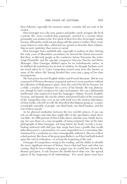Don Fabrizio, especially his sensuous nature, certainly did not exist in his creator.

Don Giuseppe was a shy man, passive and polite, rarely arrogant. He lived a private life, more cerebral than passionate, married to a woman whose personality was similar to his. For much of their lives they lived apart, mainly because Allesandra could not get along with the prince's mother. They wrote many letters to each other, which led one person to describe their relationship as more epistolary than warm or carnal.

Don Giuseppe had a snobbish side, especially in matters of class. During the early years of Mussolini's ascendancy he favored the fascist movement. But then, so did such people as the conductor Arturo Toscanini, the writer Luigi Pirandello, and the operatic composers Giacomo Puccini and Pietro Mascagni. (Don Giuseppe disliked opera for its melodramatic nature, as he disliked all melodrama for its lack of subtlety; he thought Sicilians were too much taken by it.) Later Lampedusa turned away from the fascists, as many of the others did, having decided they were just a gang of low-class incompetents.

The last prince favored English clothes and French literature. But he was enamored of Western literature in general and never went anywhere without his collection of Shakespeare's plays. Near the end of his life he became, for a while, a teacher of literature for a covey of his friends. He was abstemious, though he had a weakness for cakes and pastries. He was a dilettantish intellectual, who mastered at least five languages—Italian, French, English, German, and Spanish. He was the arbiter and harried leader of the remnants of the Lampedusa clan, ever at war with itself over the unclear inheritance of Don Giulio, who left no will. He described this litigious group as "a smart, remarkable assembly of people, one third fools, one third lunatics, and the rest of them rascals."

As for physical similarities between the two real-life princes, if one can rely on old images and what they might offer to the speculative mind, there was little. An 1860 portrait of Don Giulio shows a hirsute man, faintly frowning, his eyes those of a man incapable of being surprised. One of the later photographs of Don Giuseppe, not long before his death, reveals a wearylooking aristocrat with dull gray hair swept back from a profile that recalls John Barrymore's: a promontory of a nose suspended over a retreating chin, minimized by a mustache on a face unimaginable without it. His eyes reflect a dark portent, like those of his great-grandfather's, as if they had both looked upon the end of civilization—or at least the beginning of the end.

Giuseppe di Lampedusa, owing to his reading, and his ability to identify the more significant streams of history, knew what had been and what was coming. Had he been religious in a pagan way, he would have favored the Roman god Janus, if only because the double-faced deity was "the special patron of the beginning of all undertakings." For surely Janus must have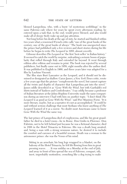blessed Lampedusa, who, with a burst "of mysterious scribblings" in the same Palermo cafe where for years he spent every afternoon reading, he entered upon a task that, in the end, would prove blessed, and also would make all of sleepy Sicily wake up and pay attention.

Not long before his death at the age of sixty, he started and finished within two years what a renowned French critic calls "one of the great books of the century, one of the great books of always." The book was unexpected since the prince had published only a few reviews and short stories during his life before he began to write *The Leopard* in 1955, almost covertly.

Gilmour describes *The Leopard* as "the first 'best-seller' in Italian history." It seemed to catch the world by surprise, unleashing a seismic boom of popularity that rolled through Italy and extended far beyond. It went through edition after edition and remains in print. The book was rejected by several publishers, but finally came out in 1958, eight months after the author died. It was published in English in 1960, and three years later was adapted for a film by Luchino Visconti.

The film stars Burt Lancaster as the Leopard, and it should not be dismissed or denigrated as shallow. Caryn James, a *New York Times* critic, wrote a few years ago that the picture "complements the novel, but cannot capture all the twists and depths of character that Lampedusa put into the novel." James oddly described it as "*Gone With the Wind*, but with Garibaldi's red shirts instead of Yankees and Confederates." I say *oddly* because a professor of Italian literature at the Johns Hopkins University made the same comparison during an interview I had with him on another topic. "I don't think *The Leopard* is as good as *Gone With the Wind*," said Pier Massimo Forni. "It is more literary, maybe, but as a narrative it's not as accomplished." It could be said without serious challenge that most Sicilians who know anything of *The Leopard* learned of it as a movie. No doubt most Americans came to know *Gone With the Wind* the same way.

The last prince of Lampedusa died of emphysema, and like his great grandfather he died in a hotel room—he in Rome, Don Giulio in Florence. Don Fabrizio, not to be left behind just because he was a fictional character, died in 1888 in the Hotel Trinacria in Palermo. His was a death long awaited; and, being a man with a strong sensuous nature, he desired it to include the comfort and caresses of a beautiful woman. Death was a woman to the astronomer prince: she was the Venus of his mind.

Sitting in an armchair, his long legs wrapped in a blanket, on the balcony of the Hotel Trinacria, he felt life flowing from him in great pressing waves. . . . It was midday on a Monday at the end of July, and away in front of him spread the sea of Palermo, compact, oily, inert, improbably motionless, crouching like a dog trying to make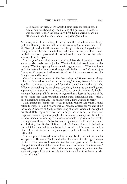itself invisible at his master's threats; but up there the static perpendicular sun was straddling it and lashing at it pitilessly. The silence was absolute. Under the high, high light Don Fabrizio heard no other sound than that inner one of life gushing from him.

At the very end, after receiving the last rites of the Catholic church, though quite indifferently, his mind all the while assessing the balance sheet of his life, "trying to sort out of the immense ash-heap of liabilities the golden flecks of happy moments," she came to him, and "raised her veil, and there, modest, but ready to be possessed, she looked lovelier than she ever had when glimpsed in stellar space."

*The Leopard* generated much confusion, blizzards of questions, hostile and otherwise, praise and rejection. Was it a historical novel or an autobiography? Was it an apology for an archaic degenerate class? Was it an insult to Italian letters for being shot through with Sicilian dialect? Or was it just Giuseppe di Lampedusa's effort to forestall the oblivion soon to enshroud his family name and history?

Out of what literary genre did *The Leopard* spring? Where does it belong? Who did Lampedusa emulate in his writing? Proust, Tolstoy, Pirandello, Stendhal—there are so many candidates they cancel one another out. The difficulty of matching the novel with something familiar to the intelligentsia is perhaps the reason E. M. Forster called it "one of those lonely books." Among other things all this seems to suggest that at least at the time of the book's emergence there prevailed among many intellectuals and critics a deep aversion to originality—or possibly just a deep aversion to Sicily.

I am among the commoner of the common readers, and what I found within the pages of *The Leopard* was a serenade, a lyrical song to and about the rending sadness of Sicily, a place long shunned, ridiculed throughout mainland Italy, repeatedly overrun through the centuries, invaded, and despoiled time and again by people of other cultures, conquerors from here or there, some of whom stayed on for considerable lengths of time: Greeks, Carthaginians, Romans, Arabs, Normans, Spaniards, the French later, until at last, during Don Giulio's lifetime—and with the assistance of "that fellow Garibaldi, that bearded Vulcan, [who] had won after all," as was conceded by Don Fabrizio at his death—Italy managed to pull itself together into a new nation state.

The last prince traveled on occasion during his life, but not far, nor for long periods. He was of Sicily; and, when he wrote of it through the eyes of his character, one could see and feel the love aglow in his fatalism, the disappointment that weighed on his heart, much as the sun, "the true ruler," weighed upon Sicily: "the crude brash sun, the drugging sun, which annulled every will, kept all things in servile immobility, cradled in violence as arbitrary as dreams."